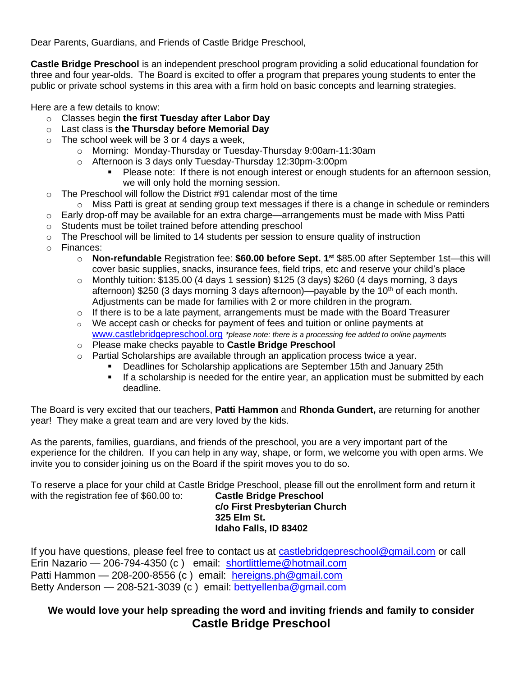Dear Parents, Guardians, and Friends of Castle Bridge Preschool,

**Castle Bridge Preschool** is an independent preschool program providing a solid educational foundation for three and four year-olds. The Board is excited to offer a program that prepares young students to enter the public or private school systems in this area with a firm hold on basic concepts and learning strategies.

Here are a few details to know:

- o Classes begin **the first Tuesday after Labor Day**
- o Last class is **the Thursday before Memorial Day**
- $\circ$  The school week will be 3 or 4 days a week,
	- o Morning: Monday-Thursday or Tuesday-Thursday 9:00am-11:30am
	- o Afternoon is 3 days only Tuesday-Thursday 12:30pm-3:00pm
		- Please note: If there is not enough interest or enough students for an afternoon session, we will only hold the morning session.
- $\circ$  The Preschool will follow the District #91 calendar most of the time
- $\circ$  Miss Patti is great at sending group text messages if there is a change in schedule or reminders
- $\circ$  Early drop-off may be available for an extra charge—arrangements must be made with Miss Patti
- o Students must be toilet trained before attending preschool
- o The Preschool will be limited to 14 students per session to ensure quality of instruction
- o Finances:
	- o **Non-refundable** Registration fee: **\$60.00 before Sept. 1st** \$85.00 after September 1st—this will cover basic supplies, snacks, insurance fees, field trips, etc and reserve your child's place
	- $\circ$  Monthly tuition: \$135.00 (4 days 1 session) \$125 (3 days) \$260 (4 days morning, 3 days afternoon) \$250 (3 days morning 3 days afternoon)—payable by the 10<sup>th</sup> of each month. Adjustments can be made for families with 2 or more children in the program.
	- $\circ$  If there is to be a late payment, arrangements must be made with the Board Treasurer
	- $\circ$  We accept cash or checks for payment of fees and tuition or online payments at [www.castlebridgepreschool.org](http://www.castlebridgepreschool.org/) *\*please note: there is a processing fee added to online payments*
	- o Please make checks payable to **Castle Bridge Preschool**
	- $\circ$  Partial Scholarships are available through an application process twice a year.
		- **Deadlines for Scholarship applications are September 15th and January 25th**
		- If a scholarship is needed for the entire year, an application must be submitted by each deadline.

The Board is very excited that our teachers, **Patti Hammon** and **Rhonda Gundert,** are returning for another year! They make a great team and are very loved by the kids.

As the parents, families, guardians, and friends of the preschool, you are a very important part of the experience for the children. If you can help in any way, shape, or form, we welcome you with open arms. We invite you to consider joining us on the Board if the spirit moves you to do so.

To reserve a place for your child at Castle Bridge Preschool, please fill out the enrollment form and return it with the registration fee of \$60.00 to: **Castle Bridge Preschool c/o First Presbyterian Church**

**325 Elm St. Idaho Falls, ID 83402**

If you have questions, please feel free to contact us at [castlebridgepreschool@gmail.com](mailto:castlebridgepreschool@gmail.com) or call Erin Nazario — 206-794-4350 (c ) email: [shortlittleme@hotmail.com](mailto:shortlittleme@hotmail.com) Patti Hammon — 208-200-8556 (c ) email: [hereigns.ph@gmail.com](mailto:hereigns.ph@gmail.com) Betty Anderson — 208-521-3039 (c ) email: [bettyellenba@gmail.com](mailto:bettyellenba@gmail.com)

## **We would love your help spreading the word and inviting friends and family to consider Castle Bridge Preschool**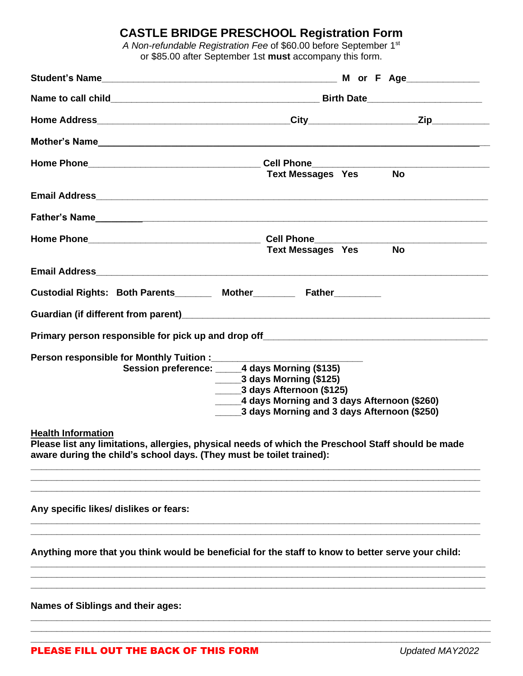## **CASTLE BRIDGE PRESCHOOL Registration Form**

*A Non-refundable Registration Fee* of \$60.00 before September 1st or \$85.00 after September 1st **must** accompany this form.

|                                                                                                                                                                                                         | <b>Text Messages Yes</b>                                                                                                                                                                                           | <b>No</b> |
|---------------------------------------------------------------------------------------------------------------------------------------------------------------------------------------------------------|--------------------------------------------------------------------------------------------------------------------------------------------------------------------------------------------------------------------|-----------|
|                                                                                                                                                                                                         |                                                                                                                                                                                                                    |           |
|                                                                                                                                                                                                         |                                                                                                                                                                                                                    |           |
| Home Phone Call Phone Cell Phone Call Phone Cell Phone Cell Phone Cell Phone Cell Phone Cell Phone C                                                                                                    | <b>Text Messages Yes No</b>                                                                                                                                                                                        |           |
|                                                                                                                                                                                                         |                                                                                                                                                                                                                    |           |
| Custodial Rights: Both Parents________ Mother________ Father________                                                                                                                                    |                                                                                                                                                                                                                    |           |
|                                                                                                                                                                                                         |                                                                                                                                                                                                                    |           |
|                                                                                                                                                                                                         |                                                                                                                                                                                                                    |           |
| Person responsible for Monthly Tuition :____________                                                                                                                                                    | Session preference: ______4 days Morning (\$135)<br>$\frac{1}{2}$ 3 days Morning (\$125)<br>3 days Afternoon (\$125)<br>4 days Morning and 3 days Afternoon (\$260)<br>3 days Morning and 3 days Afternoon (\$250) |           |
| <b>Health Information</b><br>Please list any limitations, allergies, physical needs of which the Preschool Staff should be made<br>aware during the child's school days. (They must be toilet trained): |                                                                                                                                                                                                                    |           |
| Any specific likes/ dislikes or fears:                                                                                                                                                                  |                                                                                                                                                                                                                    |           |
| Anything more that you think would be beneficial for the staff to know to better serve your child:                                                                                                      |                                                                                                                                                                                                                    |           |
| <b>Names of Siblings and their ages:</b>                                                                                                                                                                |                                                                                                                                                                                                                    |           |

**\_\_\_\_\_\_\_\_\_\_\_\_\_\_\_\_\_\_\_\_\_\_\_\_\_\_\_\_\_\_\_\_\_\_\_\_\_\_\_\_\_\_\_\_\_\_\_\_\_\_\_\_\_\_\_\_\_\_\_\_\_\_\_\_\_\_\_\_\_\_\_\_\_\_\_\_\_\_\_\_\_\_\_\_\_\_\_\_**